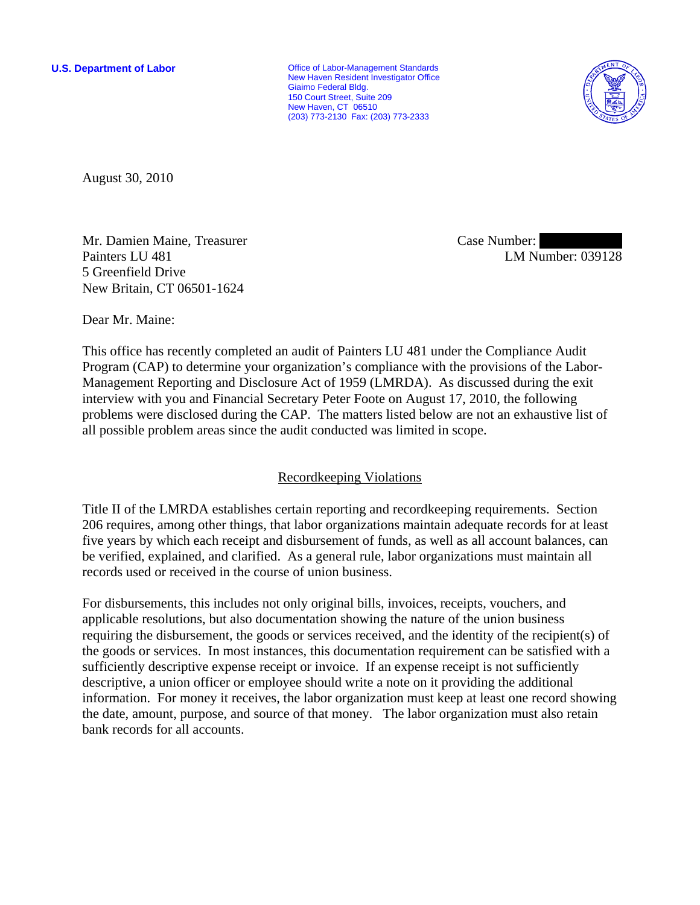**U.S. Department of Labor Contains the Contract Office of Labor-Management Standards** New Haven Resident Investigator Office Giaimo Federal Bldg. 150 Court Street, Suite 209 New Haven, CT 06510 (203) 773-2130 Fax: (203) 773-2333



August 30, 2010

Mr. Damien Maine, Treasurer Painters LU 481 5 Greenfield Drive New Britain, CT 06501-1624

Case Number: LM Number: 039128

Dear Mr. Maine:

This office has recently completed an audit of Painters LU 481 under the Compliance Audit Program (CAP) to determine your organization's compliance with the provisions of the Labor-Management Reporting and Disclosure Act of 1959 (LMRDA). As discussed during the exit interview with you and Financial Secretary Peter Foote on August 17, 2010, the following problems were disclosed during the CAP. The matters listed below are not an exhaustive list of all possible problem areas since the audit conducted was limited in scope.

## Recordkeeping Violations

Title II of the LMRDA establishes certain reporting and recordkeeping requirements. Section 206 requires, among other things, that labor organizations maintain adequate records for at least five years by which each receipt and disbursement of funds, as well as all account balances, can be verified, explained, and clarified. As a general rule, labor organizations must maintain all records used or received in the course of union business.

For disbursements, this includes not only original bills, invoices, receipts, vouchers, and applicable resolutions, but also documentation showing the nature of the union business requiring the disbursement, the goods or services received, and the identity of the recipient(s) of the goods or services. In most instances, this documentation requirement can be satisfied with a sufficiently descriptive expense receipt or invoice. If an expense receipt is not sufficiently descriptive, a union officer or employee should write a note on it providing the additional information. For money it receives, the labor organization must keep at least one record showing the date, amount, purpose, and source of that money. The labor organization must also retain bank records for all accounts.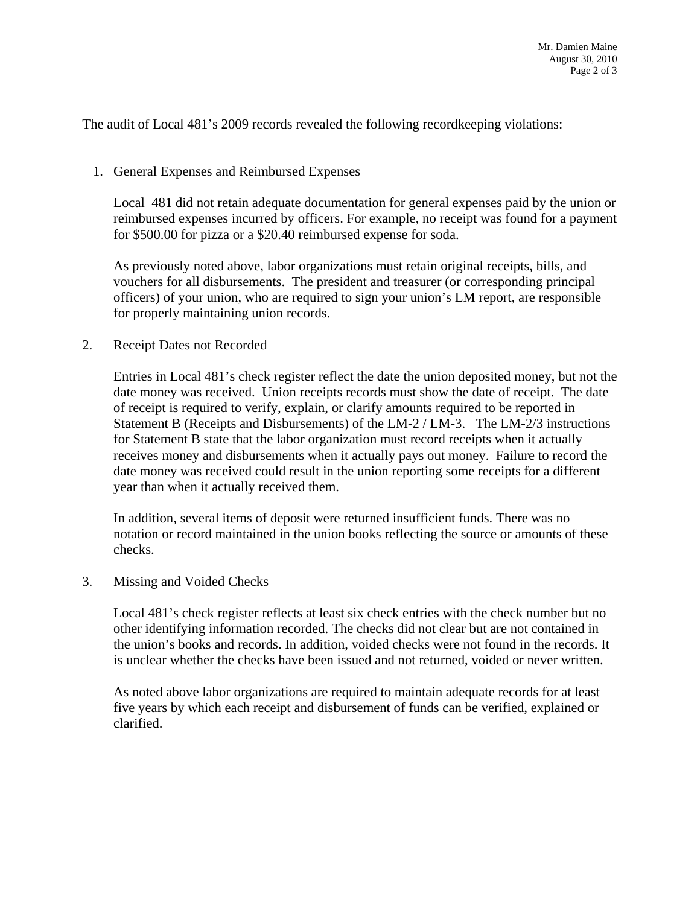The audit of Local 481's 2009 records revealed the following recordkeeping violations:

1. General Expenses and Reimbursed Expenses

Local 481 did not retain adequate documentation for general expenses paid by the union or reimbursed expenses incurred by officers. For example, no receipt was found for a payment for \$500.00 for pizza or a \$20.40 reimbursed expense for soda.

As previously noted above, labor organizations must retain original receipts, bills, and vouchers for all disbursements. The president and treasurer (or corresponding principal officers) of your union, who are required to sign your union's LM report, are responsible for properly maintaining union records.

2. Receipt Dates not Recorded

Entries in Local 481's check register reflect the date the union deposited money, but not the date money was received. Union receipts records must show the date of receipt. The date of receipt is required to verify, explain, or clarify amounts required to be reported in Statement B (Receipts and Disbursements) of the LM-2 / LM-3. The LM-2/3 instructions for Statement B state that the labor organization must record receipts when it actually receives money and disbursements when it actually pays out money. Failure to record the date money was received could result in the union reporting some receipts for a different year than when it actually received them.

In addition, several items of deposit were returned insufficient funds. There was no notation or record maintained in the union books reflecting the source or amounts of these checks.

3. Missing and Voided Checks

Local 481's check register reflects at least six check entries with the check number but no other identifying information recorded. The checks did not clear but are not contained in the union's books and records. In addition, voided checks were not found in the records. It is unclear whether the checks have been issued and not returned, voided or never written.

As noted above labor organizations are required to maintain adequate records for at least five years by which each receipt and disbursement of funds can be verified, explained or clarified.